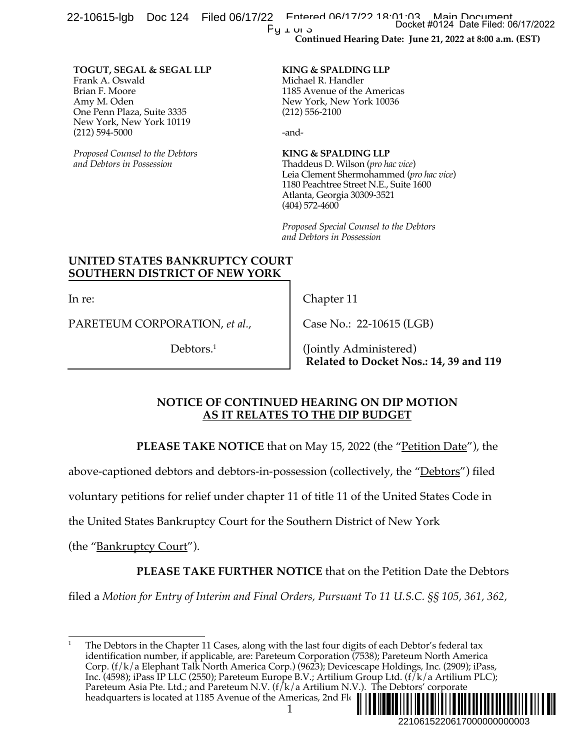**Continued Hearing Date: June 21, 2022 at 8:00 a.m. (EST)** 22-10615-lgb Doc 124 Filed 06/17/22 Entered 06/17/22 Docket #0124 Main Document<br>Docket #0124 Date Filed: 06/17/2022 Pu 1 or 3

#### **TOGUT, SEGAL & SEGAL LLP** Frank A. Oswald Brian F. Moore Amy M. Oden

One Penn Plaza, Suite 3335 New York, New York 10119 (212) 594-5000

*Proposed Counsel to the Debtors and Debtors in Possession*

### **KING & SPALDING LLP**

Michael R. Handler 1185 Avenue of the Americas New York, New York 10036 (212) 556-2100

-and-

(404) 572-4600

### **KING & SPALDING LLP** Thaddeus D. Wilson (*pro hac vice*) Leia Clement Shermohammed (*pro hac vice*) 1180 Peachtree Street N.E., Suite 1600 Atlanta, Georgia 30309-3521

*Proposed Special Counsel to the Debtors and Debtors in Possession*

# **UNITED STATES BANKRUPTCY COURT SOUTHERN DISTRICT OF NEW YORK**

In re:

PARETEUM CORPORATION, *et al.*,

Debtors.<sup>1</sup>

Chapter 11

Case No.: 22-10615 (LGB)

(Jointly Administered) **Related to Docket Nos.: 14, 39 and 119**

## **NOTICE OF CONTINUED HEARING ON DIP MOTION AS IT RELATES TO THE DIP BUDGET**

**PLEASE TAKE NOTICE** that on May 15, 2022 (the "<u>Petition Date</u>"), the

above-captioned debtors and debtors-in-possession (collectively, the "Debtors") filed

voluntary petitions for relief under chapter 11 of title 11 of the United States Code in

the United States Bankruptcy Court for the Southern District of New York

(the "Bankruptcy Court").

**PLEASE TAKE FURTHER NOTICE** that on the Petition Date the Debtors

filed a *Motion for Entry of Interim and Final Orders, Pursuant To 11 U.S.C. §§ 105, 361, 362,* 

The Debtors in the Chapter 11 Cases, along with the last four digits of each Debtor's federal tax identification number, if applicable, are: Pareteum Corporation (7538); Pareteum North America Corp. (f/k/a Elephant Talk North America Corp.) (9623); Devicescape Holdings, Inc. (2909); iPass, Inc. (4598); iPass IP LLC (2550); Pareteum Europe B.V.; Artilium Group Ltd. (f/k/a Artilium PLC); Pareteum Asia Pte. Ltd.; and Pareteum N.V. (f/k/a Artilium N.V.). The Debtors' corporate headquarters is located at 1185 Avenue of the Americas, 2nd Flo ¨2¤5&/6&1 #)« Docket #0124 Date Filed: 06/17/2022<br>
22: June 21, 2022 at 8:00 a.m. (EST)<br>
22: June 21, 2022 at 8:00 a.m. (EST)<br>
32<br>
33<br>
33<br>
34<br>
35<br>
36<br>
56<br>
56<br>
221061522006170000000000003<br>
22106152206170000000000003<br>
22106152206170000000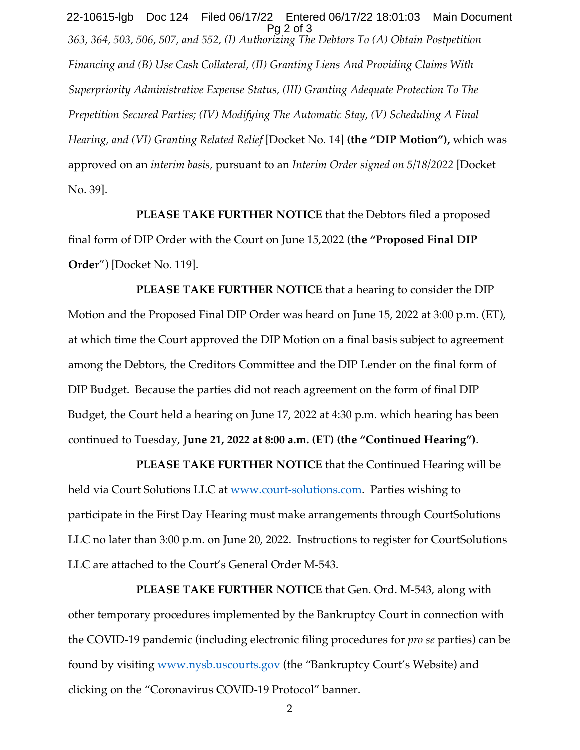*363, 364, 503, 506, 507, and 552, (I) Authorizing The Debtors To (A) Obtain Postpetition Financing and (B) Use Cash Collateral, (II) Granting Liens And Providing Claims With Superpriority Administrative Expense Status, (III) Granting Adequate Protection To The Prepetition Secured Parties; (IV) Modifying The Automatic Stay, (V) Scheduling A Final Hearing, and (VI) Granting Related Relief* [Docket No. 14] **(the "DIP Motion"),** which was approved on an *interim basis,* pursuant to an *Interim Order signed on 5/18/2022* [Docket No. 39]. 22-10615-lgb Doc 124 Filed 06/17/22 Entered 06/17/22 18:01:03 Main Document Pg 2 of 3

**PLEASE TAKE FURTHER NOTICE** that the Debtors filed a proposed final form of DIP Order with the Court on June 15,2022 (**the "Proposed Final DIP Order**") [Docket No. 119].

**PLEASE TAKE FURTHER NOTICE** that a hearing to consider the DIP Motion and the Proposed Final DIP Order was heard on June 15, 2022 at 3:00 p.m. (ET), at which time the Court approved the DIP Motion on a final basis subject to agreement among the Debtors, the Creditors Committee and the DIP Lender on the final form of DIP Budget. Because the parties did not reach agreement on the form of final DIP Budget, the Court held a hearing on June 17, 2022 at 4:30 p.m. which hearing has been continued to Tuesday, **June 21, 2022 at 8:00 a.m. (ET) (the "Continued Hearing")**.

**PLEASE TAKE FURTHER NOTICE** that the Continued Hearing will be held via Court Solutions LLC at www.court-solutions.com. Parties wishing to participate in the First Day Hearing must make arrangements through CourtSolutions LLC no later than 3:00 p.m. on June 20, 2022. Instructions to register for CourtSolutions LLC are attached to the Court's General Order M-543.

**PLEASE TAKE FURTHER NOTICE** that Gen. Ord. M-543, along with other temporary procedures implemented by the Bankruptcy Court in connection with the COVID-19 pandemic (including electronic filing procedures for *pro se* parties) can be found by visiting www.nysb.uscourts.gov (the "Bankruptcy Court's Website) and clicking on the "Coronavirus COVID-19 Protocol" banner.

2